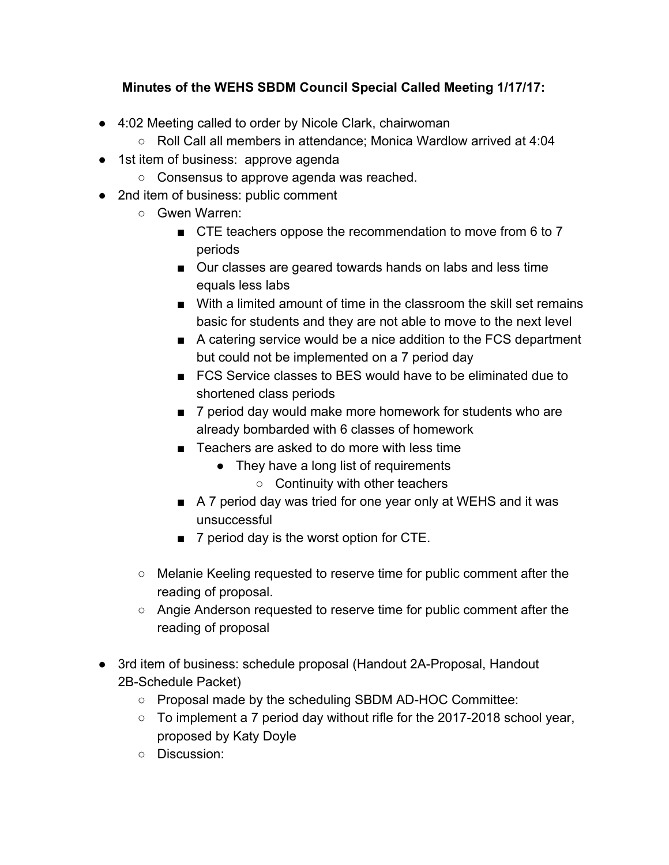## **Minutes of the WEHS SBDM Council Special Called Meeting 1/17/17:**

- 4:02 Meeting called to order by Nicole Clark, chairwoman
	- Roll Call all members in attendance; Monica Wardlow arrived at 4:04
- 1st item of business: approve agenda
	- Consensus to approve agenda was reached.
- 2nd item of business: public comment
	- Gwen Warren:
		- CTE teachers oppose the recommendation to move from 6 to 7 periods
		- Our classes are geared towards hands on labs and less time equals less labs
		- With a limited amount of time in the classroom the skill set remains basic for students and they are not able to move to the next level
		- A catering service would be a nice addition to the FCS department but could not be implemented on a 7 period day
		- FCS Service classes to BES would have to be eliminated due to shortened class periods
		- 7 period day would make more homework for students who are already bombarded with 6 classes of homework
		- Teachers are asked to do more with less time
			- They have a long list of requirements
				- Continuity with other teachers
		- A 7 period day was tried for one year only at WEHS and it was unsuccessful
		- 7 period day is the worst option for CTE.
	- Melanie Keeling requested to reserve time for public comment after the reading of proposal.
	- Angie Anderson requested to reserve time for public comment after the reading of proposal
- 3rd item of business: schedule proposal (Handout 2A-Proposal, Handout 2B-Schedule Packet)
	- Proposal made by the scheduling SBDM AD-HOC Committee:
	- To implement a 7 period day without rifle for the 2017-2018 school year, proposed by Katy Doyle
	- Discussion: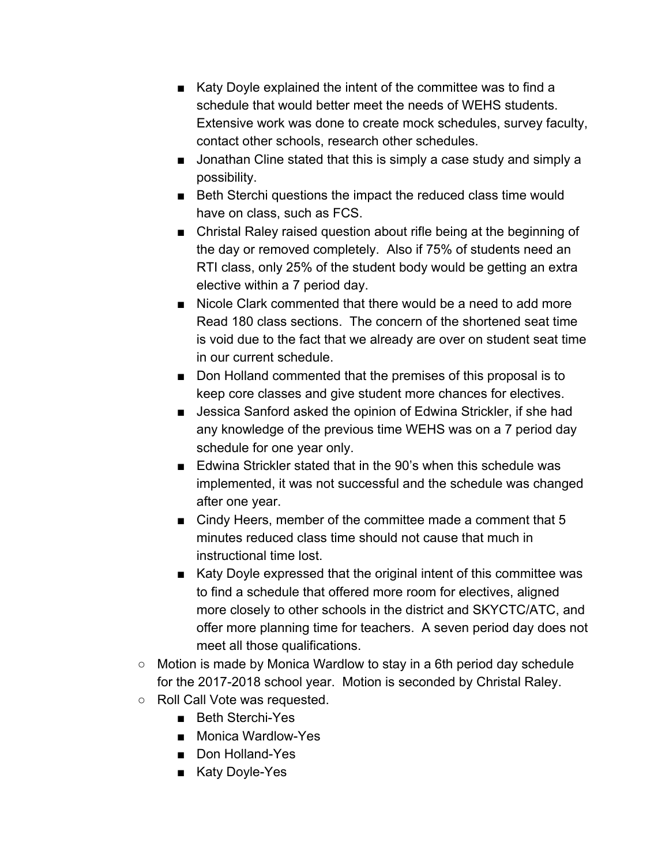- Katy Doyle explained the intent of the committee was to find a schedule that would better meet the needs of WEHS students. Extensive work was done to create mock schedules, survey faculty, contact other schools, research other schedules.
- Jonathan Cline stated that this is simply a case study and simply a possibility.
- Beth Sterchi questions the impact the reduced class time would have on class, such as FCS.
- Christal Raley raised question about rifle being at the beginning of the day or removed completely. Also if 75% of students need an RTI class, only 25% of the student body would be getting an extra elective within a 7 period day.
- Nicole Clark commented that there would be a need to add more Read 180 class sections. The concern of the shortened seat time is void due to the fact that we already are over on student seat time in our current schedule.
- Don Holland commented that the premises of this proposal is to keep core classes and give student more chances for electives.
- Jessica Sanford asked the opinion of Edwina Strickler, if she had any knowledge of the previous time WEHS was on a 7 period day schedule for one year only.
- Edwina Strickler stated that in the 90's when this schedule was implemented, it was not successful and the schedule was changed after one year.
- Cindy Heers, member of the committee made a comment that 5 minutes reduced class time should not cause that much in instructional time lost.
- Katy Doyle expressed that the original intent of this committee was to find a schedule that offered more room for electives, aligned more closely to other schools in the district and SKYCTC/ATC, and offer more planning time for teachers. A seven period day does not meet all those qualifications.
- Motion is made by Monica Wardlow to stay in a 6th period day schedule for the 2017-2018 school year. Motion is seconded by Christal Raley.
- Roll Call Vote was requested.
	- Beth Sterchi-Yes
	- Monica Wardlow-Yes
	- Don Holland-Yes
	- Katy Doyle-Yes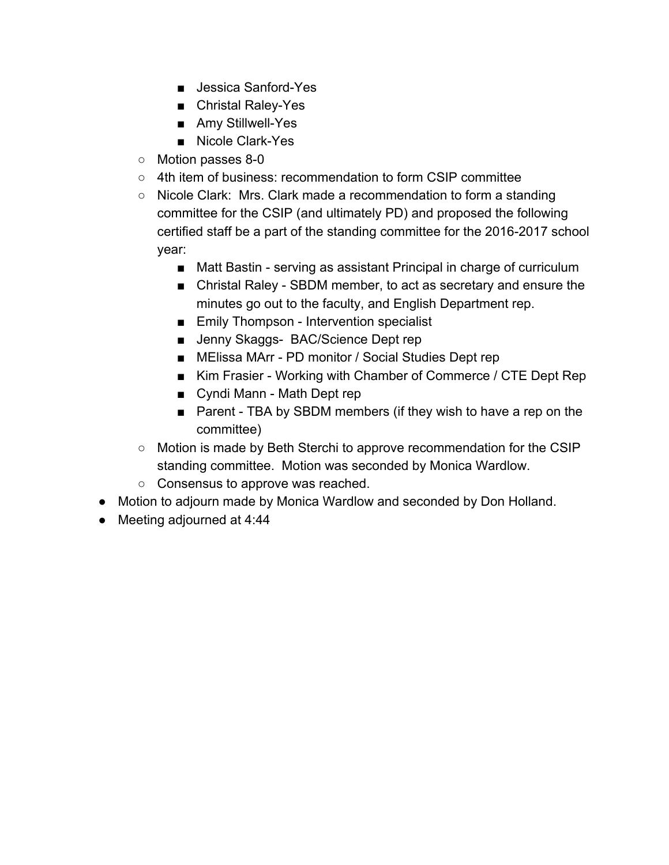- Jessica Sanford-Yes
- Christal Raley-Yes
- Amy Stillwell-Yes
- Nicole Clark-Yes
- Motion passes 8-0
- 4th item of business: recommendation to form CSIP committee
- Nicole Clark: Mrs. Clark made a recommendation to form a standing committee for the CSIP (and ultimately PD) and proposed the following certified staff be a part of the standing committee for the 2016-2017 school year:
	- Matt Bastin serving as assistant Principal in charge of curriculum
	- Christal Raley SBDM member, to act as secretary and ensure the minutes go out to the faculty, and English Department rep.
	- Emily Thompson Intervention specialist
	- Jenny Skaggs- BAC/Science Dept rep
	- MElissa MArr PD monitor / Social Studies Dept rep
	- Kim Frasier Working with Chamber of Commerce / CTE Dept Rep
	- Cyndi Mann Math Dept rep
	- Parent TBA by SBDM members (if they wish to have a rep on the committee)
- Motion is made by Beth Sterchi to approve recommendation for the CSIP standing committee. Motion was seconded by Monica Wardlow.
- Consensus to approve was reached.
- Motion to adjourn made by Monica Wardlow and seconded by Don Holland.
- Meeting adjourned at 4:44